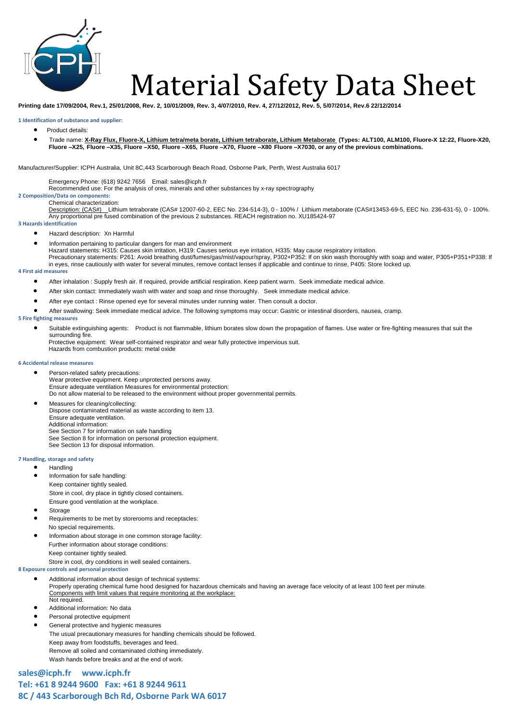

# Material Safety Data Sheet

**Printing date 17/09/2004, Rev.1, 25/01/2008, Rev. 2, 10/01/2009, Rev. 3, 4/07/2010, Rev. 4, 27/12/2012, Rev. 5, 5/07/2014, Rev.6 22/12/2014**

### **1 Identification of substance and supplier:**

- Product details:
- Trade name: **X-Ray Flux, Fluore-X, Lithium tetra/meta borate, Lithium tetraborate, Lithium Metaborate (Types: ALT100, ALM100, Fluore-X 12:22, Fluore-X20, Fluore –X25, Fluore –X35, Fluore –X50, Fluore –X65, Fluore –X70, Fluore –X80 Fluore –X7030, or any of the previous combinations.**

Manufacturer/Supplier: ICPH Australia, Unit 8C,443 Scarborough Beach Road, Osborne Park, Perth, West Australia 6017

Emergency Phone: (618) 9242 7656 Email: [sales@icph.fr](mailto:sales@icph.fr)

Recommended use: For the analysis of ores, minerals and other substances by x-ray spectrography

### **2 Composition/Data on components:**  Chemical characterization:

Description: (CAS#) Lithium tetraborate (CAS# 12007-60-2, EEC No. 234-514-3), 0 - 100% / Lithium metaborate (CAS#13453-69-5, EEC No. 236-631-5), 0 - 100%. Any proportional pre fused combination of the previous 2 substances. REACH registration no. XU185424-97

# **3 Hazards identification**

- Hazard description: Xn Harmful
	- Information pertaining to particular dangers for man and environment
	- Hazard statements: H315: Causes skin irritation, H319: Causes serious eye irritation, H335: May cause respiratory irritation.

Precautionary statements: P261: Avoid breathing dust/fumes/gas/mist/vapour/spray, P302+P352: If on skin wash thoroughly with soap and water, P305+P351+P338: If in eyes, rinse cautiously with water for several minutes, remove contact lenses if applicable and continue to rinse, P405: Store locked up.

# **4 First aid measures**

- After inhalation : Supply fresh air. If required, provide artificial respiration. Keep patient warm. Seek immediate medical advice.
- After skin contact: Immediately wash with water and soap and rinse thoroughly. Seek immediate medical advice.
- After eye contact : Rinse opened eye for several minutes under running water. Then consult a doctor.
- After swallowing: Seek immediate medical advice. The following symptoms may occur: Gastric or intestinal disorders, nausea, cramp.

# **5 Fire fighting measures**

 Suitable extinguishing agents: Product is not flammable, lithium borates slow down the propagation of flames. Use water or fire-fighting measures that suit the surrounding fire.

Protective equipment: Wear self-contained respirator and wear fully protective impervious suit. Hazards from combustion products: metal oxide

### **6 Accidental release measures**

- Person-related safety precautions: Wear protective equipment. Keep unprotected persons away. Ensure adequate ventilation Measures for environmental protection: Do not allow material to be released to the environment without proper governmental permits.
- Measures for cleaning/collecting: Dispose contaminated material as waste according to item 13. Ensure adequate ventilation.
- Additional information:
- See Section 7 for information on safe handling
- See Section 8 for information on personal protection equipment. See Section 13 for disposal information.

# **7 Handling, storage and safety**

- Handling
- Information for safe handling: Keep container tightly sealed.
	- Store in cool, dry place in tightly closed containers.
	- Ensure good ventilation at the workplace.
- Storage
- Requirements to be met by storerooms and receptacles: No special requirements.
- Information about storage in one common storage facility: Further information about storage conditions:
	- Keep container tightly sealed.
- Store in cool, dry conditions in well sealed containers. **8 Exposure controls and personal protection**
- - Additional information about design of technical systems: Properly operating chemical fume hood designed for hazardous chemicals and having an average face velocity of at least 100 feet per minute. Components with limit values that require monitoring at the workplace: Not required.
	- Additional information: No data
	- Personal protective equipment
	- General protective and hygienic measures The usual precautionary measures for handling chemicals should be followed. Keep away from foodstuffs, beverages and feed. Remove all soiled and contaminated clothing immediately. Wash hands before breaks and at the end of work.

**[sales@icph.fr](mailto:sales@icph.fr) www.icph.fr Tel: +61 8 9244 9600 Fax: +61 8 9244 9611 8C / 443 Scarborough Bch Rd, Osborne Park WA 6017**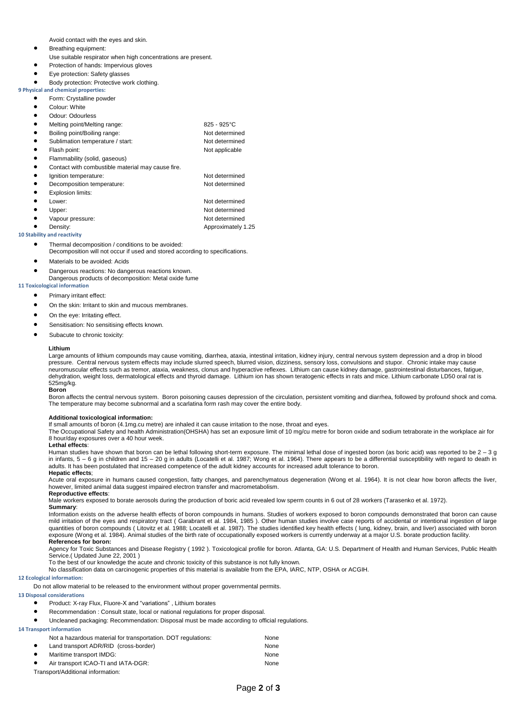Avoid contact with the eyes and skin.

- Breathing equipment:
- Use suitable respirator when high concentrations are present.
- Protection of hands: Impervious gloves
- Eye protection: Safety glasses
- Body protection: Protective work clothing.

# **9 Physical and chemical properties:**  Form: Crystalline powder

- Colour: White
- 
- Odour: Odourless
- Melting point/Melting range: 825 925°C
- Boiling point/Boiling range: Not determined Sublimation temperature / start: Not determined
- Flash point: Not applicable
- Flammability (solid, gaseous)
- Contact with combustible material may cause fire.
- Ignition temperature:  $\blacksquare$
- 
- Decomposition temperature: Not determined<br>● Explosion limits: Not determined Explosion limits: ● Lower: Not determined Upper: Not determined
- Vapour pressure:  $\bullet$  Not determined Density: Approximately 1.25

# **10 Stability and reactivity**

- Thermal decomposition / conditions to be avoided:
- Decomposition will not occur if used and stored according to specifications.
- **•** Materials to be avoided: Acids
- **•** Dangerous reactions: No dangerous reactions known. Dangerous products of decomposition: Metal oxide fume

# **11 Toxicological information**

- Primary irritant effect:
	- On the skin: Irritant to skin and mucous membranes.
	- On the eye: Irritating effect.
	- Sensitisation: No sensitising effects known.
	- Subacute to chronic toxicity:

### **Lithium**

Large amounts of lithium compounds may cause vomiting, diarrhea, ataxia, intestinal irritation, kidney injury, central nervous system depression and a drop in blood pressure. Central nervous system effects may include slurred speech, blurred vision, dizziness, sensory loss, convulsions and stupor. Chronic intake may cause neuromuscular effects such as tremor, ataxia, weakness, clonus and hyperactive reflexes. Lithium can cause kidney damage, gastrointestinal disturbances, fatigue, dehydration, weight loss, dermatological effects and thyroid damage. Lithium ion has shown teratogenic effects in rats and mice. Lithium carbonate LD50 oral rat is 525mg/kg. **Boron** 

Boron affects the central nervous system. Boron poisoning causes depression of the circulation, persistent vomiting and diarrhea, followed by profound shock and coma. The temperature may become subnormal and a scarlatina form rash may cover the entire body.

# **Additional toxicological information:**

If small amounts of boron (4.1mg.cu metre) are inhaled it can cause irritation to the nose, throat and eyes.

The Occupational Safety and health Administration(OHSHA) has set an exposure limit of 10 mg/cu metre for boron oxide and sodium tetraborate in the workplace air for 8 hour/day exposures over a 40 hour week.

## **Lethal effects**:

Human studies have shown that boron can be lethal following short-term exposure. The minimal lethal dose of ingested boron (as boric acid) was reported to be 2 - 3 g in infants, 5 – 6 g in children and 15 – 20 g in adults (Locatelli et al. 1987; Wong et al. 1964). There appears to be a differential susceptibility with regard to death in adults. It has been postulated that increased competence of the adult kidney accounts for increased adult tolerance to boron.

### **Hepatic effects**;

Acute oral exposure in humans caused congestion, fatty changes, and parenchymatous degeneration (Wong et al. 1964). It is not clear how boron affects the liver, however, limited animal data suggest impaired electron transfer and macrometabolism.

### **Reproductive effects**:

Male workers exposed to borate aerosols during the production of boric acid revealed low sperm counts in 6 out of 28 workers (Tarasenko et al. 1972). **Summary**:

Information exists on the adverse health effects of boron compounds in humans. Studies of workers exposed to boron compounds demonstrated that boron can cause mild irritation of the eyes and respiratory tract ( Garabrant et al. 1984, 1985 ). Other human studies involve case reports of accidental or intentional ingestion of large quantities of boron compounds (Litovitz et al. 1988; Locatelli et al. 1987). The studies identified key health effects (lung, kidney, brain, and liver) associated with boron exposure (Wong et al. 1984). Animal studies of the birth rate of occupationally exposed workers is currently underway at a major U.S. borate production facility. **References for boron:**

Agency for Toxic Substances and Disease Registry ( 1992 ). Toxicological profile for boron. Atlanta, GA: U.S. Department of Health and Human Services, Public Health Service.( Updated June 22, 2001 )

To the best of our knowledge the acute and chronic toxicity of this substance is not fully known.

No classification data on carcinogenic properties of this material is available from the EPA, IARC, NTP, OSHA or ACGIH.

# **12 Ecological information:**

Do not allow material to be released to the environment without proper governmental permits.

- **13 Disposal considerations** 
	- Product: X-ray Flux, Fluore-X and "variations" , Lithium borates
	- Recommendation : Consult state, local or national regulations for proper disposal.
	- Uncleaned packaging: Recommendation: Disposal must be made according to official regulations.
- **14 Transport information**

|           | Not a hazardous material for transportation. DOT regulations: | None |
|-----------|---------------------------------------------------------------|------|
|           | Land transport ADR/RID (cross-border)                         | None |
| ٠         | Maritime transport IMDG:                                      | None |
| $\bullet$ | Air transport ICAO-TI and IATA-DGR:                           | None |
|           | Transport/Additional information:                             |      |